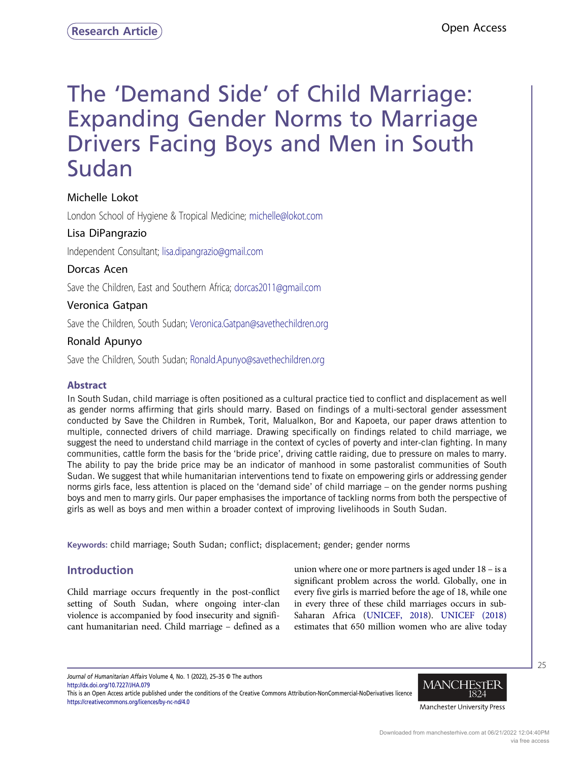# The 'Demand Side' of Child Marriage: Expanding Gender Norms to Marriage Drivers Facing Boys and Men in South Sudan

# Michelle Lokot

London School of Hygiene & Tropical Medicine; michelle@lokot.com

# Lisa DiPangrazio

Independent Consultant; lisa.dipangrazio@gmail.com

# Dorcas Acen

Save the Children, East and Southern Africa; dorcas2011@gmail.com

# Veronica Gatpan

Save the Children, South Sudan; Veronica.Gatpan@savethechildren.org

# Ronald Apunyo

Save the Children, South Sudan; Ronald.Apunyo@savethechildren.org

# Abstract

In South Sudan, child marriage is often positioned as a cultural practice tied to conflict and displacement as well as gender norms affirming that girls should marry. Based on findings of a multi-sectoral gender assessment conducted by Save the Children in Rumbek, Torit, Malualkon, Bor and Kapoeta, our paper draws attention to multiple, connected drivers of child marriage. Drawing specifically on findings related to child marriage, we suggest the need to understand child marriage in the context of cycles of poverty and inter-clan fighting. In many communities, cattle form the basis for the 'bride price', driving cattle raiding, due to pressure on males to marry. The ability to pay the bride price may be an indicator of manhood in some pastoralist communities of South Sudan. We suggest that while humanitarian interventions tend to fixate on empowering girls or addressing gender norms girls face, less attention is placed on the 'demand side' of child marriage – on the gender norms pushing boys and men to marry girls. Our paper emphasises the importance of tackling norms from both the perspective of girls as well as boys and men within a broader context of improving livelihoods in South Sudan.

Keywords: child marriage; South Sudan; conflict; displacement; gender; gender norms

# Introduction

Child marriage occurs frequently in the post-conflict setting of South Sudan, where ongoing inter-clan violence is accompanied by food insecurity and significant humanitarian need. Child marriage – defined as a union where one or more partners is aged under 18 – is a significant problem across the world. Globally, one in every five girls is married before the age of 18, while one in every three of these child marriages occurs in sub-Saharan Africa [\(UNICEF, 2018](#page-10-0)). [UNICEF \(2018\)](#page-10-0) estimates that 650 million women who are alive today

Journal of Humanitarian Affairs Volume 4, No. 1 (2022), 25–35 © The authors <http://dx.doi.org/10.7227/JHA.079>

This is an Open Access article published under the conditions of the Creative Commons Attribution-NonCommercial-NoDerivatives licence <https://creativecommons.org/licences/by-nc-nd/4.0>



25

Manchester University Press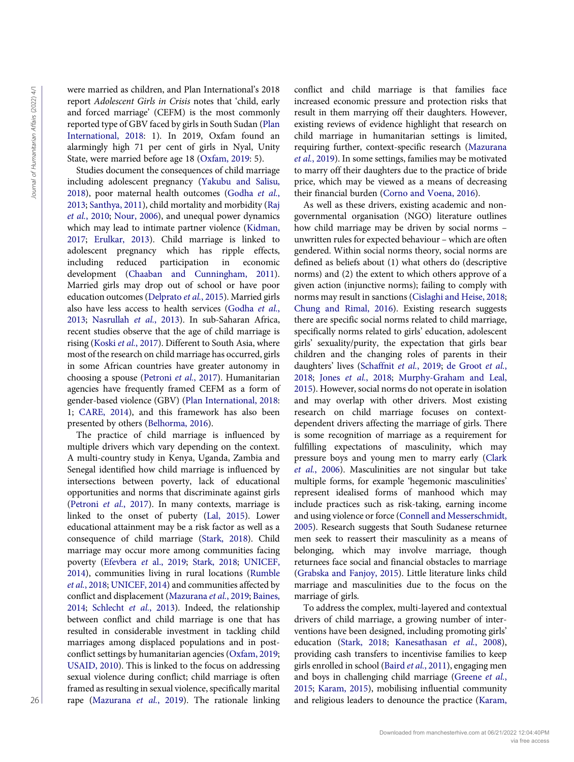were married as children, and Plan International's 2018 report Adolescent Girls in Crisis notes that 'child, early and forced marriage' (CEFM) is the most commonly reported type of GBV faced by girls in South Sudan ([Plan](#page-10-1) [International, 2018:](#page-10-1) 1). In 2019, Oxfam found an alarmingly high 71 per cent of girls in Nyal, Unity State, were married before age 18 ([Oxfam, 2019:](#page-10-2) 5).

Studies document the consequences of child marriage including adolescent pregnancy [\(Yakubu and Salisu,](#page-10-3) [2018\)](#page-10-3), poor maternal health outcomes [\(Godha](#page-9-0) et al., [2013;](#page-9-0) [Santhya, 2011\)](#page-10-4), child mortality and morbidity ([Raj](#page-10-5) et al.[, 2010](#page-10-5); [Nour, 2006\)](#page-10-6), and unequal power dynamics which may lead to intimate partner violence [\(Kidman,](#page-9-1) [2017;](#page-9-1) [Erulkar, 2013](#page-9-2)). Child marriage is linked to adolescent pregnancy which has ripple effects, including reduced participation in economic development [\(Chaaban and Cunningham, 2011\)](#page-8-0). Married girls may drop out of school or have poor education outcomes ([Delprato](#page-9-3) et al., 2015). Married girls also have less access to health services ([Godha](#page-9-0) et al., [2013;](#page-9-0) [Nasrullah](#page-10-7) et al., 2013). In sub-Saharan Africa, recent studies observe that the age of child marriage is rising (Koski et al.[, 2017](#page-9-4)). Different to South Asia, where most of the research on child marriage has occurred, girls in some African countries have greater autonomy in choosing a spouse [\(Petroni](#page-10-8) et al., 2017). Humanitarian agencies have frequently framed CEFM as a form of gender-based violence (GBV) [\(Plan International, 2018](#page-10-1): 1; [CARE, 2014](#page-8-1)), and this framework has also been presented by others ([Belhorma, 2016\)](#page-8-2).

The practice of child marriage is influenced by multiple drivers which vary depending on the context. A multi-country study in Kenya, Uganda, Zambia and Senegal identified how child marriage is influenced by intersections between poverty, lack of educational opportunities and norms that discriminate against girls [\(Petroni](#page-10-8) et al., 2017). In many contexts, marriage is linked to the onset of puberty ([Lal, 2015\)](#page-9-5). Lower educational attainment may be a risk factor as well as a consequence of child marriage ([Stark, 2018\)](#page-10-9). Child marriage may occur more among communities facing poverty (Efevbera et [al., 2019](#page-9-6); [Stark, 2018](#page-10-9); [UNICEF,](#page-10-10) [2014\)](#page-10-10), communities living in rural locations ([Rumble](#page-10-11) et al.[, 2018;](#page-10-11) [UNICEF, 2014](#page-10-10)) and communities affected by conflict and displacement [\(Mazurana](#page-10-12) et al., 2019; [Baines,](#page-8-3) [2014;](#page-8-3) [Schlecht](#page-10-13) et al., 2013). Indeed, the relationship between conflict and child marriage is one that has resulted in considerable investment in tackling child marriages among displaced populations and in postconflict settings by humanitarian agencies [\(Oxfam, 2019](#page-10-2); [USAID, 2010\)](#page-10-14). This is linked to the focus on addressing sexual violence during conflict; child marriage is often framed as resulting in sexual violence, specifically marital rape ([Mazurana](#page-10-12) et al., 2019). The rationale linking conflict and child marriage is that families face increased economic pressure and protection risks that result in them marrying off their daughters. However, existing reviews of evidence highlight that research on child marriage in humanitarian settings is limited, requiring further, context-specific research [\(Mazurana](#page-10-12) et al.[, 2019](#page-10-12)). In some settings, families may be motivated to marry off their daughters due to the practice of bride price, which may be viewed as a means of decreasing their financial burden ([Corno and Voena, 2016\)](#page-9-7).

As well as these drivers, existing academic and nongovernmental organisation (NGO) literature outlines how child marriage may be driven by social norms – unwritten rules for expected behaviour – which are often gendered. Within social norms theory, social norms are defined as beliefs about (1) what others do (descriptive norms) and (2) the extent to which others approve of a given action (injunctive norms); failing to comply with norms may result in sanctions [\(Cislaghi and Heise, 2018;](#page-9-8) [Chung and Rimal, 2016\)](#page-9-9). Existing research suggests there are specific social norms related to child marriage, specifically norms related to girls' education, adolescent girls' sexuality/purity, the expectation that girls bear children and the changing roles of parents in their daughters' lives [\(Schaffnit](#page-10-15) et al., 2019; [de Groot](#page-9-10) et al., [2018](#page-9-10); Jones et al.[, 2018](#page-9-11); [Murphy-Graham and Leal,](#page-10-16) [2015](#page-10-16)). However, social norms do not operate in isolation and may overlap with other drivers. Most existing research on child marriage focuses on contextdependent drivers affecting the marriage of girls. There is some recognition of marriage as a requirement for fulfilling expectations of masculinity, which may pressure boys and young men to marry early [\(Clark](#page-9-12) et al.[, 2006\)](#page-9-12). Masculinities are not singular but take multiple forms, for example 'hegemonic masculinities' represent idealised forms of manhood which may include practices such as risk-taking, earning income and using violence or force ([Connell and Messerschmidt,](#page-9-13) [2005](#page-9-13)). Research suggests that South Sudanese returnee men seek to reassert their masculinity as a means of belonging, which may involve marriage, though returnees face social and financial obstacles to marriage ([Grabska and Fanjoy, 2015](#page-9-14)). Little literature links child marriage and masculinities due to the focus on the marriage of girls. we have not the externes of the state of the state of the state in the state of the state of the state of the state of the state of the state of the state of the state of the state of the state of the state of the state o

To address the complex, multi-layered and contextual drivers of child marriage, a growing number of interventions have been designed, including promoting girls' education ([Stark, 2018](#page-10-9); [Kanesathasan](#page-9-15) et al., 2008), providing cash transfers to incentivise families to keep girls enrolled in school (Baird et al.[, 2011\)](#page-8-4), engaging men and boys in challenging child marriage ([Greene](#page-9-16) et al., [2015](#page-9-16); [Karam, 2015\)](#page-9-17), mobilising influential community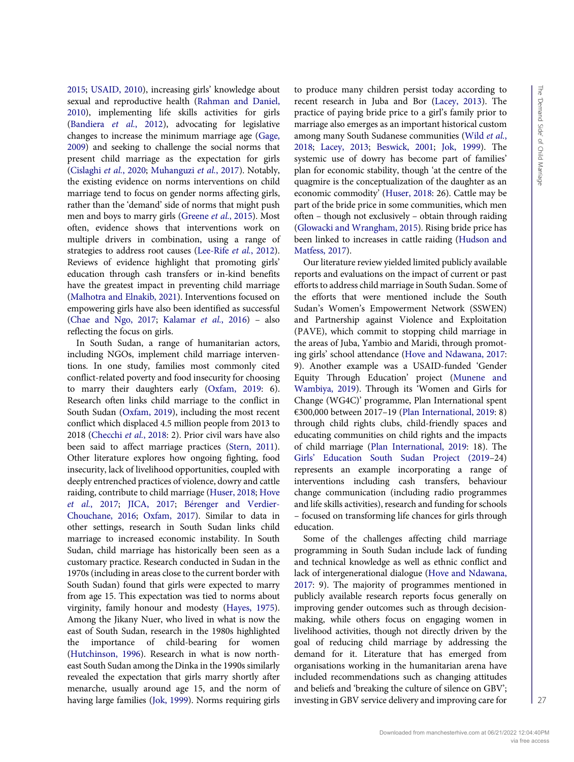[2015;](#page-9-17) [USAID, 2010\)](#page-10-14), increasing girls' knowledge about sexual and reproductive health ([Rahman and Daniel,](#page-10-17) [2010\)](#page-10-17), implementing life skills activities for girls [\(Bandiera](#page-8-5) et al., 2012), advocating for legislative changes to increase the minimum marriage age [\(Gage,](#page-9-18) [2009\)](#page-9-18) and seeking to challenge the social norms that present child marriage as the expectation for girls [\(Cislaghi](#page-9-8) et al., 2020; [Muhanguzi](#page-10-18) et al., 2017). Notably, the existing evidence on norms interventions on child marriage tend to focus on gender norms affecting girls, rather than the 'demand' side of norms that might push men and boys to marry girls [\(Greene](#page-9-16) et al., 2015). Most often, evidence shows that interventions work on multiple drivers in combination, using a range of strategies to address root causes ([Lee-Rife](#page-9-19) et al., 2012). Reviews of evidence highlight that promoting girls' education through cash transfers or in-kind benefits have the greatest impact in preventing child marriage [\(Malhotra and Elnakib, 2021\)](#page-10-19). Interventions focused on empowering girls have also been identified as successful [\(Chae and Ngo, 2017;](#page-8-6) [Kalamar](#page-9-20) et al., 2016) – also reflecting the focus on girls.

In South Sudan, a range of humanitarian actors, including NGOs, implement child marriage interventions. In one study, families most commonly cited conflict-related poverty and food insecurity for choosing to marry their daughters early ([Oxfam, 2019](#page-10-2): 6). Research often links child marriage to the conflict in South Sudan [\(Oxfam, 2019\)](#page-10-2), including the most recent conflict which displaced 4.5 million people from 2013 to 2018 ([Checchi](#page-8-7) et al., 2018: 2). Prior civil wars have also been said to affect marriage practices ([Stern, 2011\)](#page-10-20). Other literature explores how ongoing fighting, food insecurity, lack of livelihood opportunities, coupled with deeply entrenched practices of violence, dowry and cattle raiding, contribute to child marriage ([Huser, 2018;](#page-9-21) [Hove](#page-9-22) et al.[, 2017;](#page-9-22) [JICA, 2017](#page-9-23); [Bérenger and Verdier-](#page-8-8)[Chouchane, 2016](#page-8-8); [Oxfam, 2017](#page-10-21)). Similar to data in other settings, research in South Sudan links child marriage to increased economic instability. In South Sudan, child marriage has historically been seen as a customary practice. Research conducted in Sudan in the 1970s (including in areas close to the current border with South Sudan) found that girls were expected to marry from age 15. This expectation was tied to norms about virginity, family honour and modesty ([Hayes, 1975\)](#page-9-24). Among the Jikany Nuer, who lived in what is now the east of South Sudan, research in the 1980s highlighted the importance of child-bearing for women [\(Hutchinson, 1996\)](#page-9-25). Research in what is now northeast South Sudan among the Dinka in the 1990s similarly revealed the expectation that girls marry shortly after menarche, usually around age 15, and the norm of having large families [\(Jok, 1999](#page-9-26)). Norms requiring girls to produce many children persist today according to recent research in Juba and Bor [\(Lacey, 2013\)](#page-9-27). The practice of paying bride price to a girl's family prior to marriage also emerges as an important historical custom among many South Sudanese communities [\(Wild](#page-10-22) et al., [2018](#page-10-22); [Lacey, 2013](#page-9-27); [Beswick, 2001;](#page-8-9) [Jok, 1999\)](#page-9-26). The systemic use of dowry has become part of families' plan for economic stability, though 'at the centre of the quagmire is the conceptualization of the daughter as an economic commodity' [\(Huser, 2018](#page-9-21): 26). Cattle may be part of the bride price in some communities, which men often – though not exclusively – obtain through raiding ([Glowacki and Wrangham, 2015\)](#page-9-28). Rising bride price has been linked to increases in cattle raiding [\(Hudson and](#page-9-29) [Matfess, 2017](#page-9-29)).

Our literature review yielded limited publicly available reports and evaluations on the impact of current or past efforts to address child marriage in South Sudan. Some of the efforts that were mentioned include the South Sudan's Women's Empowerment Network (SSWEN) and Partnership against Violence and Exploitation (PAVE), which commit to stopping child marriage in the areas of Juba, Yambio and Maridi, through promoting girls' school attendance [\(Hove and Ndawana, 2017:](#page-9-22) 9). Another example was a USAID-funded 'Gender Equity Through Education' project [\(Munene and](#page-10-23) [Wambiya, 2019](#page-10-23)). Through its 'Women and Girls for Change (WG4C)' programme, Plan International spent €300,000 between 2017–19 ([Plan International, 2019](#page-10-24): 8) through child rights clubs, child-friendly spaces and educating communities on child rights and the impacts of child marriage ([Plan International, 2019](#page-10-24): 18). The Girls' [Education South Sudan Project \(2019](#page-9-30)–24) represents an example incorporating a range of interventions including cash transfers, behaviour change communication (including radio programmes and life skills activities), research and funding for schools – focused on transforming life chances for girls through education.

Some of the challenges affecting child marriage programming in South Sudan include lack of funding and technical knowledge as well as ethnic conflict and lack of intergenerational dialogue [\(Hove and Ndawana,](#page-9-22) [2017](#page-9-22): 9). The majority of programmes mentioned in publicly available research reports focus generally on improving gender outcomes such as through decisionmaking, while others focus on engaging women in livelihood activities, though not directly driven by the goal of reducing child marriage by addressing the demand for it. Literature that has emerged from organisations working in the humanitarian arena have included recommendations such as changing attitudes and beliefs and 'breaking the culture of silence on GBV'; investing in GBV service delivery and improving care for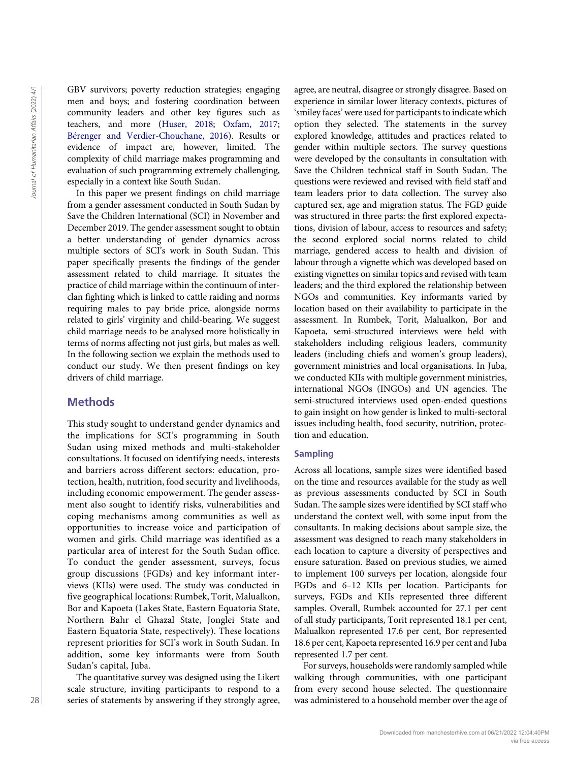GBV survivors; poverty reduction strategies; engaging men and boys; and fostering coordination between community leaders and other key figures such as teachers, and more ([Huser, 2018](#page-9-21); [Oxfam, 2017](#page-10-21); [Bérenger and Verdier-Chouchane, 2016\)](#page-8-8). Results or evidence of impact are, however, limited. The complexity of child marriage makes programming and evaluation of such programming extremely challenging, especially in a context like South Sudan.

In this paper we present findings on child marriage from a gender assessment conducted in South Sudan by Save the Children International (SCI) in November and December 2019. The gender assessment sought to obtain a better understanding of gender dynamics across multiple sectors of SCI's work in South Sudan. This paper specifically presents the findings of the gender assessment related to child marriage. It situates the practice of child marriage within the continuum of interclan fighting which is linked to cattle raiding and norms requiring males to pay bride price, alongside norms related to girls' virginity and child-bearing. We suggest child marriage needs to be analysed more holistically in terms of norms affecting not just girls, but males as well. In the following section we explain the methods used to conduct our study. We then present findings on key drivers of child marriage.

## **Methods**

This study sought to understand gender dynamics and the implications for SCI's programming in South Sudan using mixed methods and multi-stakeholder consultations. It focused on identifying needs, interests and barriers across different sectors: education, protection, health, nutrition, food security and livelihoods, including economic empowerment. The gender assessment also sought to identify risks, vulnerabilities and coping mechanisms among communities as well as opportunities to increase voice and participation of women and girls. Child marriage was identified as a particular area of interest for the South Sudan office. To conduct the gender assessment, surveys, focus group discussions (FGDs) and key informant interviews (KIIs) were used. The study was conducted in five geographical locations: Rumbek, Torit, Malualkon, Bor and Kapoeta (Lakes State, Eastern Equatoria State, Northern Bahr el Ghazal State, Jonglei State and Eastern Equatoria State, respectively). These locations represent priorities for SCI's work in South Sudan. In addition, some key informants were from South Sudan's capital, Juba.

The quantitative survey was designed using the Likert scale structure, inviting participants to respond to a series of statements by answering if they strongly agree,

agree, are neutral, disagree or strongly disagree. Based on experience in similar lower literacy contexts, pictures of 'smiley faces' were used for participants to indicate which option they selected. The statements in the survey explored knowledge, attitudes and practices related to gender within multiple sectors. The survey questions were developed by the consultants in consultation with Save the Children technical staff in South Sudan. The questions were reviewed and revised with field staff and team leaders prior to data collection. The survey also captured sex, age and migration status. The FGD guide was structured in three parts: the first explored expectations, division of labour, access to resources and safety; the second explored social norms related to child marriage, gendered access to health and division of labour through a vignette which was developed based on existing vignettes on similar topics and revised with team leaders; and the third explored the relationship between NGOs and communities. Key informants varied by location based on their availability to participate in the assessment. In Rumbek, Torit, Malualkon, Bor and Kapoeta, semi-structured interviews were held with stakeholders including religious leaders, community leaders (including chiefs and women's group leaders), government ministries and local organisations. In Juba, we conducted KIIs with multiple government ministries, international NGOs (INGOs) and UN agencies. The semi-structured interviews used open-ended questions to gain insight on how gender is linked to multi-sectoral issues including health, food security, nutrition, protection and education. 28 was an external of the state of the state of African control member of Humanitarian and the state of Humanitarian and the state of Humanitarian and the state of Humanitarian and the state of Humanitarian and the state

#### Sampling

Across all locations, sample sizes were identified based on the time and resources available for the study as well as previous assessments conducted by SCI in South Sudan. The sample sizes were identified by SCI staff who understand the context well, with some input from the consultants. In making decisions about sample size, the assessment was designed to reach many stakeholders in each location to capture a diversity of perspectives and ensure saturation. Based on previous studies, we aimed to implement 100 surveys per location, alongside four FGDs and 6–12 KIIs per location. Participants for surveys, FGDs and KIIs represented three different samples. Overall, Rumbek accounted for 27.1 per cent of all study participants, Torit represented 18.1 per cent, Malualkon represented 17.6 per cent, Bor represented 18.6 per cent, Kapoeta represented 16.9 per cent and Juba represented 1.7 per cent.

For surveys, households were randomly sampled while walking through communities, with one participant from every second house selected. The questionnaire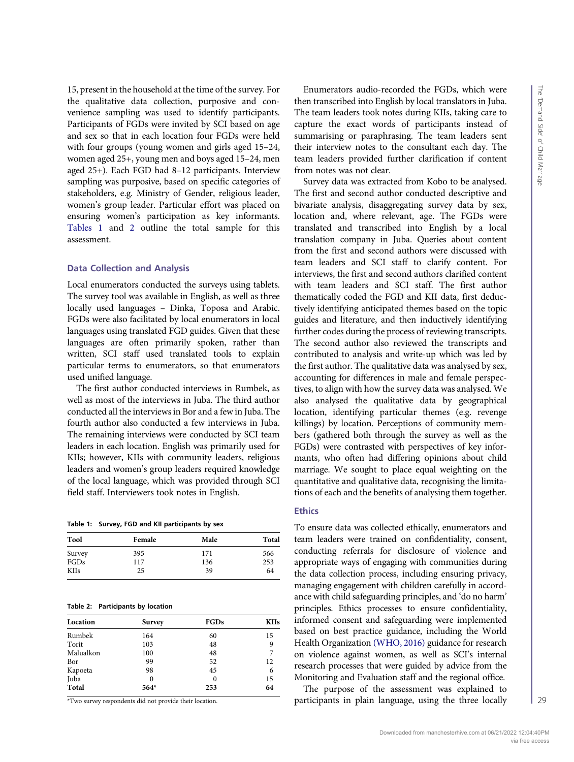15, present in the household at the time of the survey. For the qualitative data collection, purposive and convenience sampling was used to identify participants. Participants of FGDs were invited by SCI based on age and sex so that in each location four FGDs were held with four groups (young women and girls aged 15–24, women aged 25+, young men and boys aged 15–24, men aged 25+). Each FGD had 8–12 participants. Interview sampling was purposive, based on specific categories of stakeholders, e.g. Ministry of Gender, religious leader, women's group leader. Particular effort was placed on ensuring women's participation as key informants. [Tables 1](#page-4-0) and [2](#page-4-1) outline the total sample for this assessment.

#### Data Collection and Analysis

Local enumerators conducted the surveys using tablets. The survey tool was available in English, as well as three locally used languages – Dinka, Toposa and Arabic. FGDs were also facilitated by local enumerators in local languages using translated FGD guides. Given that these languages are often primarily spoken, rather than written, SCI staff used translated tools to explain particular terms to enumerators, so that enumerators used unified language.

The first author conducted interviews in Rumbek, as well as most of the interviews in Juba. The third author conducted all the interviews in Bor and a few in Juba. The fourth author also conducted a few interviews in Juba. The remaining interviews were conducted by SCI team leaders in each location. English was primarily used for KIIs; however, KIIs with community leaders, religious leaders and women's group leaders required knowledge of the local language, which was provided through SCI field staff. Interviewers took notes in English.

<span id="page-4-0"></span>Table 1: Survey, FGD and KII participants by sex

| Tool        | Female | Male | Total |
|-------------|--------|------|-------|
| Survey      | 395    | 171  | 566   |
| FGDs        | 117    | 136  | 253   |
| <b>KIIs</b> | 25     | 39   | 64    |

#### <span id="page-4-1"></span>Table 2: Participants by location

| Location  | <b>Survey</b> | <b>FGDs</b> | <b>KIIs</b> |
|-----------|---------------|-------------|-------------|
| Rumbek    | 164           | 60          | 15          |
| Torit     | 103           | 48          | 9           |
| Malualkon | 100           | 48          |             |
| Bor       | 99            | 52          | 12          |
| Kapoeta   | 98            | 45          | 6           |
| Juba      | 0             | $\theta$    | 15          |
| Total     | 564*          | 253         | 64          |

\*Two survey respondents did not provide their location.

Enumerators audio-recorded the FGDs, which were then transcribed into English by local translators in Juba. The team leaders took notes during KIIs, taking care to capture the exact words of participants instead of summarising or paraphrasing. The team leaders sent their interview notes to the consultant each day. The team leaders provided further clarification if content from notes was not clear.

Survey data was extracted from Kobo to be analysed. The first and second author conducted descriptive and bivariate analysis, disaggregating survey data by sex, location and, where relevant, age. The FGDs were translated and transcribed into English by a local translation company in Juba. Queries about content from the first and second authors were discussed with team leaders and SCI staff to clarify content. For interviews, the first and second authors clarified content with team leaders and SCI staff. The first author thematically coded the FGD and KII data, first deductively identifying anticipated themes based on the topic guides and literature, and then inductively identifying further codes during the process of reviewing transcripts. The second author also reviewed the transcripts and contributed to analysis and write-up which was led by the first author. The qualitative data was analysed by sex, accounting for differences in male and female perspectives, to align with how the survey data was analysed. We also analysed the qualitative data by geographical location, identifying particular themes (e.g. revenge killings) by location. Perceptions of community members (gathered both through the survey as well as the FGDs) were contrasted with perspectives of key informants, who often had differing opinions about child marriage. We sought to place equal weighting on the quantitative and qualitative data, recognising the limitations of each and the benefits of analysing them together.

#### **Ethics**

To ensure data was collected ethically, enumerators and team leaders were trained on confidentiality, consent, conducting referrals for disclosure of violence and appropriate ways of engaging with communities during the data collection process, including ensuring privacy, managing engagement with children carefully in accordance with child safeguarding principles, and 'do no harm' principles. Ethics processes to ensure confidentiality, informed consent and safeguarding were implemented based on best practice guidance, including the World Health Organization [\(WHO, 2016\)](#page-10-25) guidance for research on violence against women, as well as SCI's internal research processes that were guided by advice from the Monitoring and Evaluation staff and the regional office.

The purpose of the assessment was explained to participants in plain language, using the three locally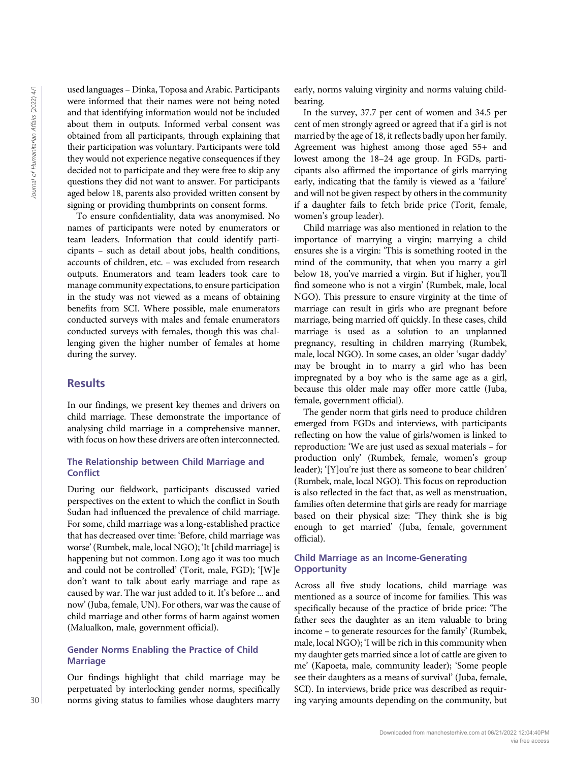used languages – Dinka, Toposa and Arabic. Participants were informed that their names were not being noted and that identifying information would not be included about them in outputs. Informed verbal consent was obtained from all participants, through explaining that their participation was voluntary. Participants were told they would not experience negative consequences if they decided not to participate and they were free to skip any questions they did not want to answer. For participants aged below 18, parents also provided written consent by signing or providing thumbprints on consent forms.

To ensure confidentiality, data was anonymised. No names of participants were noted by enumerators or team leaders. Information that could identify participants – such as detail about jobs, health conditions, accounts of children, etc. – was excluded from research outputs. Enumerators and team leaders took care to manage community expectations, to ensure participation in the study was not viewed as a means of obtaining benefits from SCI. Where possible, male enumerators conducted surveys with males and female enumerators conducted surveys with females, though this was challenging given the higher number of females at home during the survey.

## **Results**

In our findings, we present key themes and drivers on child marriage. These demonstrate the importance of analysing child marriage in a comprehensive manner, with focus on how these drivers are often interconnected.

## The Relationship between Child Marriage and **Conflict**

During our fieldwork, participants discussed varied perspectives on the extent to which the conflict in South Sudan had influenced the prevalence of child marriage. For some, child marriage was a long-established practice that has decreased over time: 'Before, child marriage was worse' (Rumbek, male, local NGO); 'It [child marriage] is happening but not common. Long ago it was too much and could not be controlled' (Torit, male, FGD); '[W]e don't want to talk about early marriage and rape as caused by war. The war just added to it. It's before ... and now' (Juba, female, UN). For others, war was the cause of child marriage and other forms of harm against women (Malualkon, male, government official).

## Gender Norms Enabling the Practice of Child **Marriage**

Our findings highlight that child marriage may be perpetuated by interlocking gender norms, specifically norms giving status to families whose daughters marry early, norms valuing virginity and norms valuing childbearing.

In the survey, 37.7 per cent of women and 34.5 per cent of men strongly agreed or agreed that if a girl is not married by the age of 18, it reflects badly upon her family. Agreement was highest among those aged 55+ and lowest among the 18–24 age group. In FGDs, participants also affirmed the importance of girls marrying early, indicating that the family is viewed as a 'failure' and will not be given respect by others in the community if a daughter fails to fetch bride price (Torit, female, women's group leader).

Child marriage was also mentioned in relation to the importance of marrying a virgin; marrying a child ensures she is a virgin: 'This is something rooted in the mind of the community, that when you marry a girl below 18, you've married a virgin. But if higher, you'll find someone who is not a virgin' (Rumbek, male, local NGO). This pressure to ensure virginity at the time of marriage can result in girls who are pregnant before marriage, being married off quickly. In these cases, child marriage is used as a solution to an unplanned pregnancy, resulting in children marrying (Rumbek, male, local NGO). In some cases, an older 'sugar daddy' may be brought in to marry a girl who has been impregnated by a boy who is the same age as a girl, because this older male may offer more cattle (Juba, female, government official). and the phase interaction of the community spectral and the community amount was a community and a state of the community and the community and the community amount of the community amount of the community amount of the c

The gender norm that girls need to produce children emerged from FGDs and interviews, with participants reflecting on how the value of girls/women is linked to reproduction: 'We are just used as sexual materials – for production only' (Rumbek, female, women's group leader); '[Y]ou're just there as someone to bear children' (Rumbek, male, local NGO). This focus on reproduction is also reflected in the fact that, as well as menstruation, families often determine that girls are ready for marriage based on their physical size: 'They think she is big enough to get married' (Juba, female, government official).

#### Child Marriage as an Income-Generating **Opportunity**

Across all five study locations, child marriage was mentioned as a source of income for families. This was specifically because of the practice of bride price: 'The father sees the daughter as an item valuable to bring income – to generate resources for the family' (Rumbek, male, local NGO); 'I will be rich in this community when my daughter gets married since a lot of cattle are given to me' (Kapoeta, male, community leader); 'Some people see their daughters as a means of survival' (Juba, female, SCI). In interviews, bride price was described as requir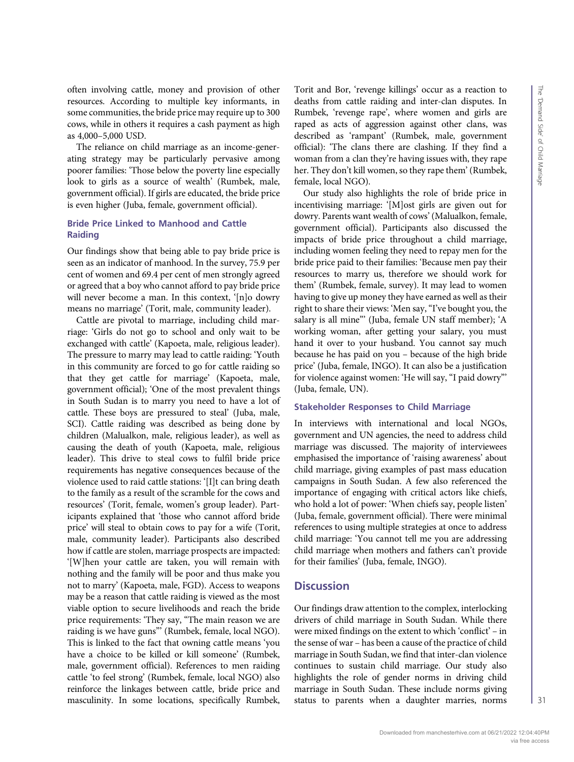often involving cattle, money and provision of other resources. According to multiple key informants, in some communities, the bride price may require up to 300 cows, while in others it requires a cash payment as high as 4,000–5,000 USD.

The reliance on child marriage as an income-generating strategy may be particularly pervasive among poorer families: 'Those below the poverty line especially look to girls as a source of wealth' (Rumbek, male, government official). If girls are educated, the bride price is even higher (Juba, female, government official).

## Bride Price Linked to Manhood and Cattle Raiding

Our findings show that being able to pay bride price is seen as an indicator of manhood. In the survey, 75.9 per cent of women and 69.4 per cent of men strongly agreed or agreed that a boy who cannot afford to pay bride price will never become a man. In this context, '[n]o dowry means no marriage' (Torit, male, community leader).

Cattle are pivotal to marriage, including child marriage: 'Girls do not go to school and only wait to be exchanged with cattle' (Kapoeta, male, religious leader). The pressure to marry may lead to cattle raiding: 'Youth in this community are forced to go for cattle raiding so that they get cattle for marriage' (Kapoeta, male, government official); 'One of the most prevalent things in South Sudan is to marry you need to have a lot of cattle. These boys are pressured to steal' (Juba, male, SCI). Cattle raiding was described as being done by children (Malualkon, male, religious leader), as well as causing the death of youth (Kapoeta, male, religious leader). This drive to steal cows to fulfil bride price requirements has negative consequences because of the violence used to raid cattle stations: '[I]t can bring death to the family as a result of the scramble for the cows and resources' (Torit, female, women's group leader). Participants explained that 'those who cannot afford bride price' will steal to obtain cows to pay for a wife (Torit, male, community leader). Participants also described how if cattle are stolen, marriage prospects are impacted: '[W]hen your cattle are taken, you will remain with nothing and the family will be poor and thus make you not to marry' (Kapoeta, male, FGD). Access to weapons may be a reason that cattle raiding is viewed as the most viable option to secure livelihoods and reach the bride price requirements: 'They say, "The main reason we are raiding is we have guns"' (Rumbek, female, local NGO). This is linked to the fact that owning cattle means 'you have a choice to be killed or kill someone' (Rumbek, male, government official). References to men raiding cattle 'to feel strong' (Rumbek, female, local NGO) also reinforce the linkages between cattle, bride price and masculinity. In some locations, specifically Rumbek, Torit and Bor, 'revenge killings' occur as a reaction to deaths from cattle raiding and inter-clan disputes. In Rumbek, 'revenge rape', where women and girls are raped as acts of aggression against other clans, was described as 'rampant' (Rumbek, male, government official): 'The clans there are clashing. If they find a woman from a clan they're having issues with, they rape her. They don't kill women, so they rape them' (Rumbek, female, local NGO).

Our study also highlights the role of bride price in incentivising marriage: '[M]ost girls are given out for dowry. Parents want wealth of cows' (Malualkon, female, government official). Participants also discussed the impacts of bride price throughout a child marriage, including women feeling they need to repay men for the bride price paid to their families: 'Because men pay their resources to marry us, therefore we should work for them' (Rumbek, female, survey). It may lead to women having to give up money they have earned as well as their right to share their views: 'Men say,"I've bought you, the salary is all mine"' (Juba, female UN staff member); 'A working woman, after getting your salary, you must hand it over to your husband. You cannot say much because he has paid on you – because of the high bride price' (Juba, female, INGO). It can also be a justification for violence against women: 'He will say, "I paid dowry"' (Juba, female, UN).

#### Stakeholder Responses to Child Marriage

In interviews with international and local NGOs, government and UN agencies, the need to address child marriage was discussed. The majority of interviewees emphasised the importance of 'raising awareness' about child marriage, giving examples of past mass education campaigns in South Sudan. A few also referenced the importance of engaging with critical actors like chiefs, who hold a lot of power: 'When chiefs say, people listen' (Juba, female, government official). There were minimal references to using multiple strategies at once to address child marriage: 'You cannot tell me you are addressing child marriage when mothers and fathers can't provide for their families' (Juba, female, INGO).

# **Discussion**

Our findings draw attention to the complex, interlocking drivers of child marriage in South Sudan. While there were mixed findings on the extent to which 'conflict' – in the sense of war – has been a cause of the practice of child marriage in South Sudan, we find that inter-clan violence continues to sustain child marriage. Our study also highlights the role of gender norms in driving child marriage in South Sudan. These include norms giving status to parents when a daughter marries, norms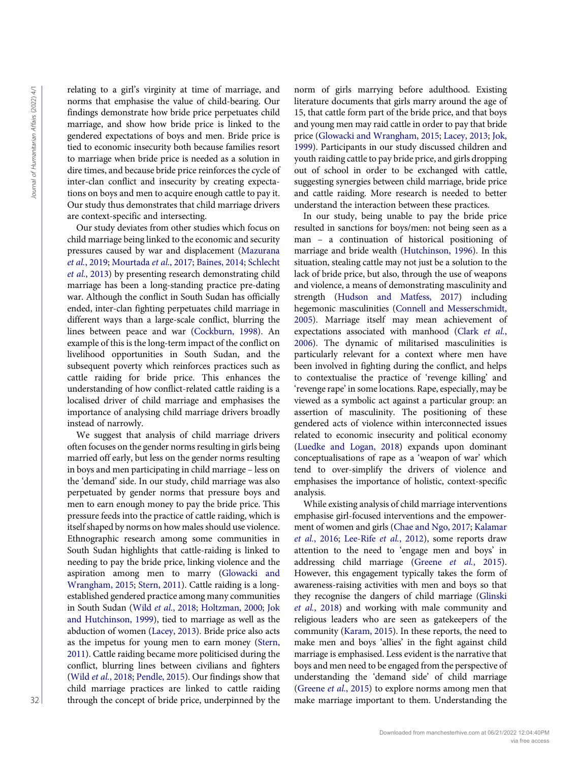relating to a girl's virginity at time of marriage, and norms that emphasise the value of child-bearing. Our findings demonstrate how bride price perpetuates child marriage, and show how bride price is linked to the gendered expectations of boys and men. Bride price is tied to economic insecurity both because families resort to marriage when bride price is needed as a solution in dire times, and because bride price reinforces the cycle of inter-clan conflict and insecurity by creating expectations on boys and men to acquire enough cattle to pay it. Our study thus demonstrates that child marriage drivers are context-specific and intersecting.

Our study deviates from other studies which focus on child marriage being linked to the economic and security pressures caused by war and displacement [\(Mazurana](#page-10-12) et al.[, 2019;](#page-10-12) [Mourtada](#page-10-26) et al., 2017; [Baines, 2014](#page-8-3); [Schlecht](#page-10-13) et al.[, 2013\)](#page-10-13) by presenting research demonstrating child marriage has been a long-standing practice pre-dating war. Although the conflict in South Sudan has officially ended, inter-clan fighting perpetuates child marriage in different ways than a large-scale conflict, blurring the lines between peace and war [\(Cockburn, 1998](#page-9-31)). An example of this is the long-term impact of the conflict on livelihood opportunities in South Sudan, and the subsequent poverty which reinforces practices such as cattle raiding for bride price. This enhances the understanding of how conflict-related cattle raiding is a localised driver of child marriage and emphasises the importance of analysing child marriage drivers broadly instead of narrowly.

We suggest that analysis of child marriage drivers often focuses on the gender norms resulting in girls being married off early, but less on the gender norms resulting in boys and men participating in child marriage – less on the 'demand' side. In our study, child marriage was also perpetuated by gender norms that pressure boys and men to earn enough money to pay the bride price. This pressure feeds into the practice of cattle raiding, which is itself shaped by norms on how males should use violence. Ethnographic research among some communities in South Sudan highlights that cattle-raiding is linked to needing to pay the bride price, linking violence and the aspiration among men to marry [\(Glowacki and](#page-9-28) [Wrangham, 2015;](#page-9-28) [Stern, 2011](#page-10-20)). Cattle raiding is a longestablished gendered practice among many communities in South Sudan (Wild et al.[, 2018](#page-10-22); [Holtzman, 2000](#page-9-32); [Jok](#page-9-33) [and Hutchinson, 1999](#page-9-33)), tied to marriage as well as the abduction of women [\(Lacey, 2013](#page-9-27)). Bride price also acts as the impetus for young men to earn money ([Stern,](#page-10-20) [2011\)](#page-10-20). Cattle raiding became more politicised during the conflict, blurring lines between civilians and fighters (Wild et al.[, 2018](#page-10-22); [Pendle, 2015\)](#page-10-27). Our findings show that child marriage practices are linked to cattle raiding through the concept of bride price, underpinned by the norm of girls marrying before adulthood. Existing literature documents that girls marry around the age of 15, that cattle form part of the bride price, and that boys and young men may raid cattle in order to pay that bride price ([Glowacki and Wrangham, 2015;](#page-9-28) [Lacey, 2013](#page-9-27); [Jok,](#page-9-26) [1999](#page-9-26)). Participants in our study discussed children and youth raiding cattle to pay bride price, and girls dropping out of school in order to be exchanged with cattle, suggesting synergies between child marriage, bride price and cattle raiding. More research is needed to better understand the interaction between these practices.

In our study, being unable to pay the bride price resulted in sanctions for boys/men: not being seen as a man – a continuation of historical positioning of marriage and bride wealth ([Hutchinson, 1996](#page-9-25)). In this situation, stealing cattle may not just be a solution to the lack of bride price, but also, through the use of weapons and violence, a means of demonstrating masculinity and strength [\(Hudson and Matfess, 2017](#page-9-29)) including hegemonic masculinities ([Connell and Messerschmidt,](#page-9-13) [2005](#page-9-13)). Marriage itself may mean achievement of expectations associated with manhood ([Clark](#page-9-12) et al., [2006](#page-9-12)). The dynamic of militarised masculinities is particularly relevant for a context where men have been involved in fighting during the conflict, and helps to contextualise the practice of 'revenge killing' and 'revenge rape' in some locations. Rape, especially, may be viewed as a symbolic act against a particular group: an assertion of masculinity. The positioning of these gendered acts of violence within interconnected issues related to economic insecurity and political economy ([Luedke and Logan, 2018](#page-9-34)) expands upon dominant conceptualisations of rape as a 'weapon of war' which tend to over-simplify the drivers of violence and emphasises the importance of holistic, context-specific analysis. Figure 12. The matrix is presentated by the matrix in the of the matrix is the state in the state in the state in the state in the state in the state in the state in the state in the state in the state in the state in the

While existing analysis of child marriage interventions emphasise girl-focused interventions and the empowerment of women and girls ([Chae and Ngo, 2017](#page-8-6); [Kalamar](#page-9-20) et al.[, 2016;](#page-9-20) [Lee-Rife](#page-9-19) et al., 2012), some reports draw attention to the need to 'engage men and boys' in addressing child marriage (Greene et al.[, 2015](#page-9-16)). However, this engagement typically takes the form of awareness-raising activities with men and boys so that they recognise the dangers of child marriage ([Glinski](#page-9-35) et al.[, 2018\)](#page-9-35) and working with male community and religious leaders who are seen as gatekeepers of the community [\(Karam, 2015\)](#page-9-17). In these reports, the need to make men and boys 'allies' in the fight against child marriage is emphasised. Less evident is the narrative that boys and men need to be engaged from the perspective of understanding the 'demand side' of child marriage ([Greene](#page-9-16) et al., 2015) to explore norms among men that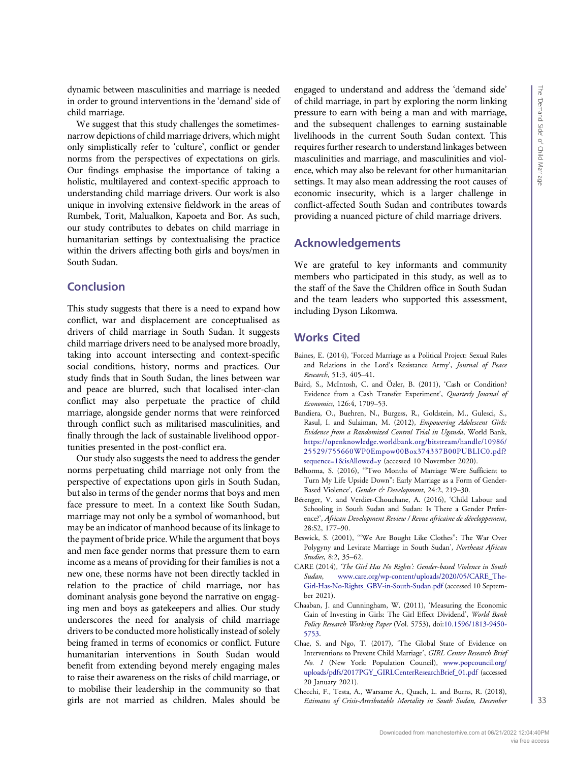dynamic between masculinities and marriage is needed in order to ground interventions in the 'demand' side of child marriage.

We suggest that this study challenges the sometimesnarrow depictions of child marriage drivers, which might only simplistically refer to 'culture', conflict or gender norms from the perspectives of expectations on girls. Our findings emphasise the importance of taking a holistic, multilayered and context-specific approach to understanding child marriage drivers. Our work is also unique in involving extensive fieldwork in the areas of Rumbek, Torit, Malualkon, Kapoeta and Bor. As such, our study contributes to debates on child marriage in humanitarian settings by contextualising the practice within the drivers affecting both girls and boys/men in South Sudan.

## **Conclusion**

This study suggests that there is a need to expand how conflict, war and displacement are conceptualised as drivers of child marriage in South Sudan. It suggests child marriage drivers need to be analysed more broadly, taking into account intersecting and context-specific social conditions, history, norms and practices. Our study finds that in South Sudan, the lines between war and peace are blurred, such that localised inter-clan conflict may also perpetuate the practice of child marriage, alongside gender norms that were reinforced through conflict such as militarised masculinities, and finally through the lack of sustainable livelihood opportunities presented in the post-conflict era.

Our study also suggests the need to address the gender norms perpetuating child marriage not only from the perspective of expectations upon girls in South Sudan, but also in terms of the gender norms that boys and men face pressure to meet. In a context like South Sudan, marriage may not only be a symbol of womanhood, but may be an indicator of manhood because of its linkage to the payment of bride price. While the argument that boys and men face gender norms that pressure them to earn income as a means of providing for their families is not a new one, these norms have not been directly tackled in relation to the practice of child marriage, nor has dominant analysis gone beyond the narrative on engaging men and boys as gatekeepers and allies. Our study underscores the need for analysis of child marriage drivers to be conducted more holistically instead of solely being framed in terms of economics or conflict. Future humanitarian interventions in South Sudan would benefit from extending beyond merely engaging males to raise their awareness on the risks of child marriage, or to mobilise their leadership in the community so that girls are not married as children. Males should be engaged to understand and address the 'demand side' of child marriage, in part by exploring the norm linking pressure to earn with being a man and with marriage, and the subsequent challenges to earning sustainable livelihoods in the current South Sudan context. This requires further research to understand linkages between masculinities and marriage, and masculinities and violence, which may also be relevant for other humanitarian settings. It may also mean addressing the root causes of economic insecurity, which is a larger challenge in conflict-affected South Sudan and contributes towards providing a nuanced picture of child marriage drivers.

## Acknowledgements

We are grateful to key informants and community members who participated in this study, as well as to the staff of the Save the Children office in South Sudan and the team leaders who supported this assessment, including Dyson Likomwa.

# Works Cited

- <span id="page-8-3"></span>Baines, E. (2014), 'Forced Marriage as a Political Project: Sexual Rules and Relations in the Lord's Resistance Army', Journal of Peace Research, 51:3, 405–41.
- <span id="page-8-4"></span>Baird, S., McIntosh, C. and Özler, B. (2011), 'Cash or Condition? Evidence from a Cash Transfer Experiment', Quarterly Journal of Economics, 126:4, 1709–53.
- <span id="page-8-5"></span>Bandiera, O., Buehren, N., Burgess, R., Goldstein, M., Gulesci, S., Rasul, I. and Sulaiman, M. (2012), Empowering Adolescent Girls: Evidence from a Randomized Control Trial in Uganda, World Bank, [https://openknowledge.worldbank.org/bitstream/handle/10986/](https://openknowledge.worldbank.org/bitstream/handle/10986/25529/755660WP0Empow00Box374337B00PUBLIC0.pdf?sequence=1&isAllowed=y) [25529/755660WP0Empow00Box374337B00PUBLIC0.pdf?](https://openknowledge.worldbank.org/bitstream/handle/10986/25529/755660WP0Empow00Box374337B00PUBLIC0.pdf?sequence=1&isAllowed=y) [sequence=1&isAllowed=y](https://openknowledge.worldbank.org/bitstream/handle/10986/25529/755660WP0Empow00Box374337B00PUBLIC0.pdf?sequence=1&isAllowed=y) (accessed 10 November 2020).
- <span id="page-8-2"></span>Belhorma, S. (2016), '"Two Months of Marriage Were Sufficient to Turn My Life Upside Down": Early Marriage as a Form of Gender-Based Violence', Gender & Development, 24:2, 219-30.
- <span id="page-8-8"></span>Bérenger, V. and Verdier-Chouchane, A. (2016), 'Child Labour and Schooling in South Sudan and Sudan: Is There a Gender Preference?', African Development Review / Revue africaine de développement, 28:S2, 177–90.
- <span id="page-8-9"></span>Beswick, S. (2001), '"We Are Bought Like Clothes": The War Over Polygyny and Levirate Marriage in South Sudan', Northeast African Studies, 8:2, 35–62.
- <span id="page-8-1"></span>CARE (2014), 'The Girl Has No Rights': Gender-based Violence in South Sudan, [www.care.org/wp-content/uploads/2020/05/CARE\\_The-](http://www.care.org/wp-content/uploads/2020/05/CARE_The-Girl-Has-No-Rights_GBV-in-South-Sudan.pdf)[Girl-Has-No-Rights\\_GBV-in-South-Sudan.pdf](http://www.care.org/wp-content/uploads/2020/05/CARE_The-Girl-Has-No-Rights_GBV-in-South-Sudan.pdf) (accessed 10 September 2021).
- <span id="page-8-0"></span>Chaaban, J. and Cunningham, W. (2011), 'Measuring the Economic Gain of Investing in Girls: The Girl Effect Dividend', World Bank Policy Research Working Paper (Vol. 5753), doi:[10.1596/1813-9450-](http://dx.doi.org/10.1596/1813-9450-5753) [5753](http://dx.doi.org/10.1596/1813-9450-5753).
- <span id="page-8-6"></span>Chae, S. and Ngo, T. (2017), 'The Global State of Evidence on Interventions to Prevent Child Marriage', GIRL Center Research Brief No. 1 (New York: Population Council), [www.popcouncil.org/](http://www.popcouncil.org/uploads/pdfs/2017PGY_GIRLCenterResearchBrief_01.pdf) [uploads/pdfs/2017PGY\\_GIRLCenterResearchBrief\\_01.pdf](http://www.popcouncil.org/uploads/pdfs/2017PGY_GIRLCenterResearchBrief_01.pdf) (accessed 20 January 2021).
- <span id="page-8-7"></span>Checchi, F., Testa, A., Warsame A., Quach, L. and Burns, R. (2018), Estimates of Crisis-Attributable Mortality in South Sudan, December

33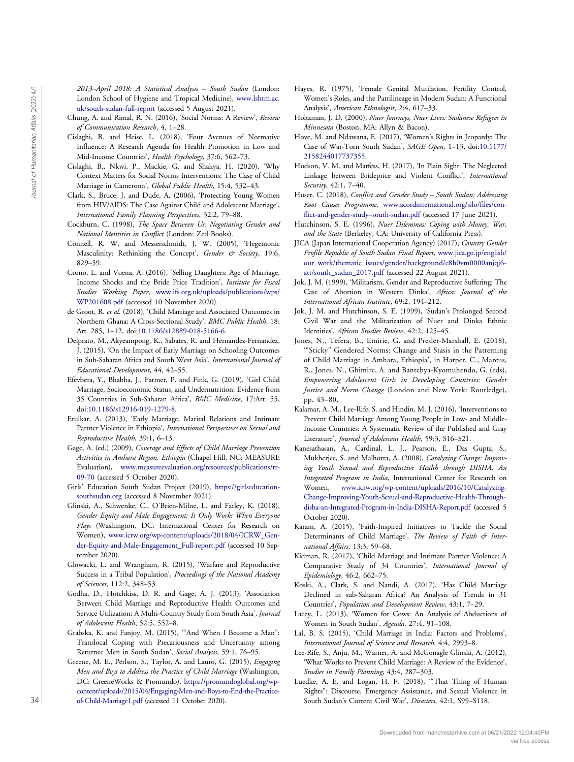2013–April 2018: A Statistical Analysis – South Sudan (London: London School of Hygiene and Tropical Medicine), [www.lshtm.ac.](http://www.lshtm.ac.uk/south-sudan-full-report) [uk/south-sudan-full-report](http://www.lshtm.ac.uk/south-sudan-full-report) (accessed 5 August 2021).

- <span id="page-9-9"></span>Chung, A. and Rimal, R. N. (2016), 'Social Norms: A Review', Review of Communication Research, 4, 1–28.
- <span id="page-9-8"></span>Cislaghi, B. and Heise, L. (2018), 'Four Avenues of Normative Influence: A Research Agenda for Health Promotion in Low and Mid-Income Countries', Health Psychology, 37:6, 562–73.
- Cislaghi, B., Nkwi, P., Mackie, G. and Shakya, H. (2020), 'Why Context Matters for Social Norms Interventions: The Case of Child Marriage in Cameroon', Global Public Health, 15:4, 532–43.
- <span id="page-9-12"></span>Clark, S., Bruce, J. and Dude, A. (2006), 'Protecting Young Women from HIV/AIDS: The Case Against Child and Adolescent Marriage', International Family Planning Perspectives, 32:2, 79–88.
- <span id="page-9-31"></span>Cockburn, C. (1998), The Space Between Us: Negotiating Gender and National Identities in Conflict (London: Zed Books).
- <span id="page-9-13"></span>Connell, R. W. and Messerschmidt, J. W. (2005), 'Hegemonic Masculinity: Rethinking the Concept', Gender & Society, 19:6, 829–59.
- <span id="page-9-7"></span>Corno, L. and Voena, A. (2016), 'Selling Daughters: Age of Marriage, Income Shocks and the Bride Price Tradition', Institute for Fiscal Studies Working Paper, [www.ifs.org.uk/uploads/publications/wps/](http://www.ifs.org.uk/uploads/publications/wps/WP201608.pdf) [WP201608.pdf](http://www.ifs.org.uk/uploads/publications/wps/WP201608.pdf) (accessed 10 November 2020).
- <span id="page-9-10"></span>de Groot, R. et al. (2018), 'Child Marriage and Associated Outcomes in Northern Ghana: A Cross-Sectional Study', BMC Public Health, 18: Art. 285, 1–12, doi[:10.1186/s12889-018-5166-6](http://dx.doi.org/10.1186/s12889-018-5166-6).
- <span id="page-9-3"></span>Delprato, M., Akyeampong, K., Sabates, R. and Hernandez-Fernandez, J. (2015), 'On the Impact of Early Marriage on Schooling Outcomes in Sub-Saharan Africa and South West Asia', International Journal of Educational Development, 44, 42–55.
- <span id="page-9-6"></span>Efevbera, Y., Bhabha, J., Farmer, P. and Fink, G. (2019), 'Girl Child Marriage, Socioeconomic Status, and Undernutrition: Evidence from 35 Countries in Sub-Saharan Africa', BMC Medicine, 17:Art. 55, doi[:10.1186/s12916-019-1279-8.](http://dx.doi.org/10.1186/s12916-019-1279-8)
- <span id="page-9-2"></span>Erulkar, A. (2013), 'Early Marriage, Marital Relations and Intimate Partner Violence in Ethiopia', International Perspectives on Sexual and Reproductive Health, 39:1, 6–13.
- <span id="page-9-18"></span>Gage, A. (ed.) (2009), Coverage and Effects of Child Marriage Prevention Activities in Amhara Region, Ethiopia (Chapel Hill, NC: MEASURE Evaluation), [www.measureevaluation.org/resources/publications/tr-](http://www.measureevaluation.org/resources/publications/tr-09-70)[09-70](http://www.measureevaluation.org/resources/publications/tr-09-70) (accessed 5 October 2020).
- <span id="page-9-30"></span>Girls' Education South Sudan Project (2019), [https://girlseducation](https://girlseducationsouthsudan.org)[southsudan.org](https://girlseducationsouthsudan.org) (accessed 8 November 2021).
- <span id="page-9-35"></span>Glinski, A., Schwenke, C., O'Brien-Milne, L. and Farley, K. (2018), Gender Equity and Male Engagement: It Only Works When Everyone Plays (Washington, DC: International Center for Research on Women), [www.icrw.org/wp-content/uploads/2018/04/ICRW\\_Gen](http://www.icrw.org/wp-content/uploads/2018/04/ICRW_Gender-Equity-and-Male-Engagement_Full-report.pdf)[der-Equity-and-Male-Engagement\\_Full-report.pdf](http://www.icrw.org/wp-content/uploads/2018/04/ICRW_Gender-Equity-and-Male-Engagement_Full-report.pdf) (accessed 10 September 2020).
- <span id="page-9-28"></span>Glowacki, L. and Wrangham, R. (2015), 'Warfare and Reproductive Success in a Tribal Population', Proceedings of the National Academy of Sciences, 112:2, 348–53.
- <span id="page-9-0"></span>Godha, D., Hotchkiss, D. R. and Gage, A. J. (2013), 'Association Between Child Marriage and Reproductive Health Outcomes and Service Utilization: A Multi-Country Study from South Asia', Journal of Adolescent Health, 52:5, 552–8.
- <span id="page-9-19"></span><span id="page-9-14"></span>Grabska, K. and Fanjoy, M. (2015), '"And When I Become a Man": Translocal Coping with Precariousness and Uncertainty among Returnee Men in South Sudan', Social Analysis, 59:1, 76–95.
- <span id="page-9-34"></span><span id="page-9-16"></span>Greene, M. E., Perlson, S., Taylor, A. and Lauro, G. (2015), Engaging Men and Boys to Address the Practice of Child Marriage (Washington, DC: GreeneWorks & Promundo), [https://promundoglobal.org/wp](https://promundoglobal.org/wp-content/uploads/2015/04/Engaging-Men-and-Boys-to-End-the-Practice-of-Child-Marriage1.pdf)[content/uploads/2015/04/Engaging-Men-and-Boys-to-End-the-Practice](https://promundoglobal.org/wp-content/uploads/2015/04/Engaging-Men-and-Boys-to-End-the-Practice-of-Child-Marriage1.pdf)[of-Child-Marriage1.pdf](https://promundoglobal.org/wp-content/uploads/2015/04/Engaging-Men-and-Boys-to-End-the-Practice-of-Child-Marriage1.pdf) (accessed 11 October 2020).
- <span id="page-9-24"></span>Hayes, R. (1975), 'Female Genital Mutilation, Fertility Control, Women's Roles, and the Patrilineage in Modern Sudan: A Functional Analysis', American Ethnologist, 2:4, 617–33.
- <span id="page-9-32"></span>Holtzman, J. D. (2000), Nuer Journeys, Nuer Lives: Sudanese Refugees in Minnesota (Boston, MA: Allyn & Bacon).
- <span id="page-9-22"></span>Hove, M. and Ndawana, E. (2017), 'Women's Rights in Jeopardy: The Case of War-Torn South Sudan', SAGE Open, 1–13, doi:[10.1177/](http://dx.doi.org/10.1177/2158244017737355) [2158244017737355.](http://dx.doi.org/10.1177/2158244017737355)
- <span id="page-9-29"></span>Hudson, V. M. and Matfess, H. (2017), 'In Plain Sight: The Neglected Linkage between Brideprice and Violent Conflict', International Security, 42:1, 7–40.
- <span id="page-9-21"></span>Huser, C. (2018), Conflict and Gender Study - South Sudan: Addressing Root Causes Programme, [www.acordinternational.org/silo/files/con](http://www.acordinternational.org/silo/files/conflict-and-gender-study--south-sudan.pdf)[flict-and-gender-study](http://www.acordinternational.org/silo/files/conflict-and-gender-study--south-sudan.pdf)–south-sudan.pdf (accessed 17 June 2021).
- <span id="page-9-25"></span>Hutchinson, S. E. (1996), Nuer Dilemmas: Coping with Money, War, and the State (Berkeley, CA: University of California Press).
- <span id="page-9-23"></span>JICA (Japan International Cooperation Agency) (2017), Country Gender Profile Republic of South Sudan Final Report, [www.jica.go.jp/english/](http://www.jica.go.jp/english/our_work/thematic_issues/gender/background/c8h0vm0000anjqj6-att/south_sudan_2017.pdf) [our\\_work/thematic\\_issues/gender/background/c8h0vm0000anjqj6](http://www.jica.go.jp/english/our_work/thematic_issues/gender/background/c8h0vm0000anjqj6-att/south_sudan_2017.pdf) [att/south\\_sudan\\_2017.pdf](http://www.jica.go.jp/english/our_work/thematic_issues/gender/background/c8h0vm0000anjqj6-att/south_sudan_2017.pdf) (accessed 22 August 2021).
- <span id="page-9-26"></span>Jok, J. M. (1999), 'Militarism, Gender and Reproductive Suffering: The Case of Abortion in Western Dinka', Africa: Journal of the International African Institute, 69:2, 194–212.
- <span id="page-9-33"></span>Jok, J. M. and Hutchinson, S. E. (1999), 'Sudan's Prolonged Second Civil War and the Militarization of Nuer and Dinka Ethnic Identities', African Studies Review, 42:2, 125–45.
- <span id="page-9-11"></span>Jones, N., Tefera, B., Emirie, G. and Presler-Marshall, E. (2018), '"Sticky" Gendered Norms: Change and Stasis in the Patterning of Child Marriage in Amhara, Ethiopia', in Harper, C., Marcus, R., Jones, N., Ghimire, A. and Bantebya-Kyomuhendo, G. (eds), Empowering Adolescent Girls in Developing Countries: Gender Justice and Norm Change (London and New York: Routledge), pp. 43–80.
- <span id="page-9-27"></span><span id="page-9-20"></span><span id="page-9-17"></span><span id="page-9-15"></span><span id="page-9-5"></span><span id="page-9-4"></span><span id="page-9-1"></span>Kalamar, A. M., Lee-Rife, S. and Hindin, M. J. (2016), 'Interventions to Prevent Child Marriage Among Young People in Low- and Middle-Income Countries: A Systematic Review of the Published and Gray Literature', Journal of Adolescent Health, 59:3, S16–S21.
- Kanesathasan, A., Cardinal, L. J., Pearson, E., Das Gupta, S., Mukherjee, S. and Malhotra, A. (2008), Catalyzing Change: Improving Youth Sexual and Reproductive Health through DISHA, An Integrated Program in India, International Center for Research on Women, [www.icrw.org/wp-content/uploads/2016/10/Catalyzing-](http://www.icrw.org/wp-content/uploads/2016/10/Catalyzing-Change-Improving-Youth-Sexual-and-Reproductive-Health-Through-disha-an-Integrated-Program-in-India-DISHA-Report.pdf)[Change-Improving-Youth-Sexual-and-Reproductive-Health-Through](http://www.icrw.org/wp-content/uploads/2016/10/Catalyzing-Change-Improving-Youth-Sexual-and-Reproductive-Health-Through-disha-an-Integrated-Program-in-India-DISHA-Report.pdf)[disha-an-Integrated-Program-in-India-DISHA-Report.pdf](http://www.icrw.org/wp-content/uploads/2016/10/Catalyzing-Change-Improving-Youth-Sexual-and-Reproductive-Health-Through-disha-an-Integrated-Program-in-India-DISHA-Report.pdf) (accessed 5 October 2020). 33 South Rev. 1. The Courrent Civil War South Party is a consistent of the Civil War South Party 1988. The Courrent Civil War South Party 1988. The Courrent Civil War South Party 1988. The Courrent Civil War South Party 1
	- Karam, A. (2015), 'Faith-Inspired Initiatives to Tackle the Social Determinants of Child Marriage', The Review of Faith & International Affairs, 13:3, 59–68.
	- Kidman, R. (2017), 'Child Marriage and Intimate Partner Violence: A Comparative Study of 34 Countries', International Journal of Epidemiology, 46:2, 662–75.
	- Koski, A., Clark, S. and Nandi, A. (2017), 'Has Child Marriage Declined in sub-Saharan Africa? An Analysis of Trends in 31 Countries', Population and Development Review, 43:1, 7–29.
	- Lacey, L. (2013), 'Women for Cows: An Analysis of Abductions of Women in South Sudan', Agenda, 27:4, 91–108.
	- Lal, B. S. (2015), 'Child Marriage in India: Factors and Problems', International Journal of Science and Research, 4:4, 2993–8.
	- Lee-Rife, S., Anju, M., Warner, A. and McGonagle Glinski, A. (2012), 'What Works to Prevent Child Marriage: A Review of the Evidence', Studies in Family Planning, 43:4, 287–303.
	- Luedke, A. E. and Logan, H. F. (2018), '"That Thing of Human Rights": Discourse, Emergency Assistance, and Sexual Violence in